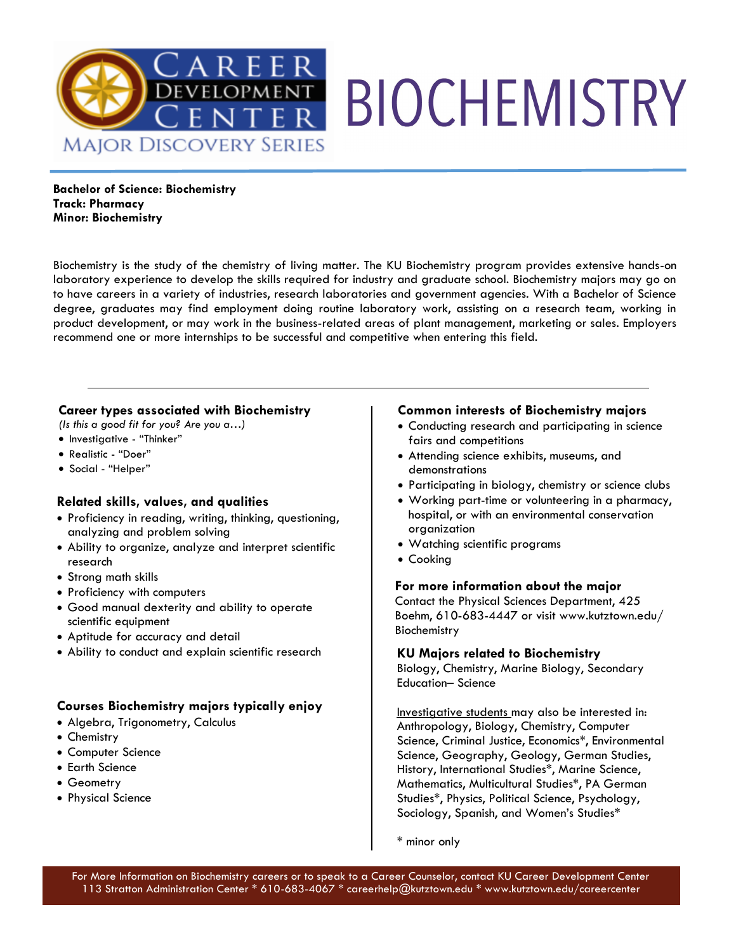

**Bachelor of Science: Biochemistry Track: Pharmacy Minor: Biochemistry** 

Biochemistry is the study of the chemistry of living matter. The KU Biochemistry program provides extensive hands-on laboratory experience to develop the skills required for industry and graduate school. Biochemistry majors may go on to have careers in a variety of industries, research laboratories and government agencies. With a Bachelor of Science degree, graduates may find employment doing routine laboratory work, assisting on a research team, working in product development, or may work in the business-related areas of plant management, marketing or sales. Employers recommend one or more internships to be successful and competitive when entering this field.

#### **Career types associated with Biochemistry**

*(Is this a good fit for you? Are you a…)* 

- Investigative "Thinker"
- Realistic "Doer"
- Social "Helper"

#### **Related skills, values, and qualities**

- Proficiency in reading, writing, thinking, questioning, analyzing and problem solving
- Ability to organize, analyze and interpret scientific research
- Strong math skills
- Proficiency with computers
- Good manual dexterity and ability to operate scientific equipment
- Aptitude for accuracy and detail
- Ability to conduct and explain scientific research

#### **Courses Biochemistry majors typically enjoy**

- Algebra, Trigonometry, Calculus
- Chemistry
- Computer Science
- Earth Science
- Geometry
- Physical Science

#### **Common interests of Biochemistry majors**

- Conducting research and participating in science fairs and competitions
- Attending science exhibits, museums, and demonstrations
- Participating in biology, chemistry or science clubs
- Working part-time or volunteering in a pharmacy, hospital, or with an environmental conservation organization
- Watching scientific programs
- Cooking

#### **For more information about the major**

Contact the Physical Sciences Department, 425 Boehm, 610-683-4447 or visit www.kutztown.edu/ Biochemistry

#### **KU Majors related to Biochemistry**

Biology, Chemistry, Marine Biology, Secondary Education– Science

Investigative students may also be interested in: Anthropology, Biology, Chemistry, Computer Science, Criminal Justice, Economics\*, Environmental Science, Geography, Geology, German Studies, History, International Studies\*, Marine Science, Mathematics, Multicultural Studies\*, PA German Studies\*, Physics, Political Science, Psychology, Sociology, Spanish, and Women's Studies\*

\* minor only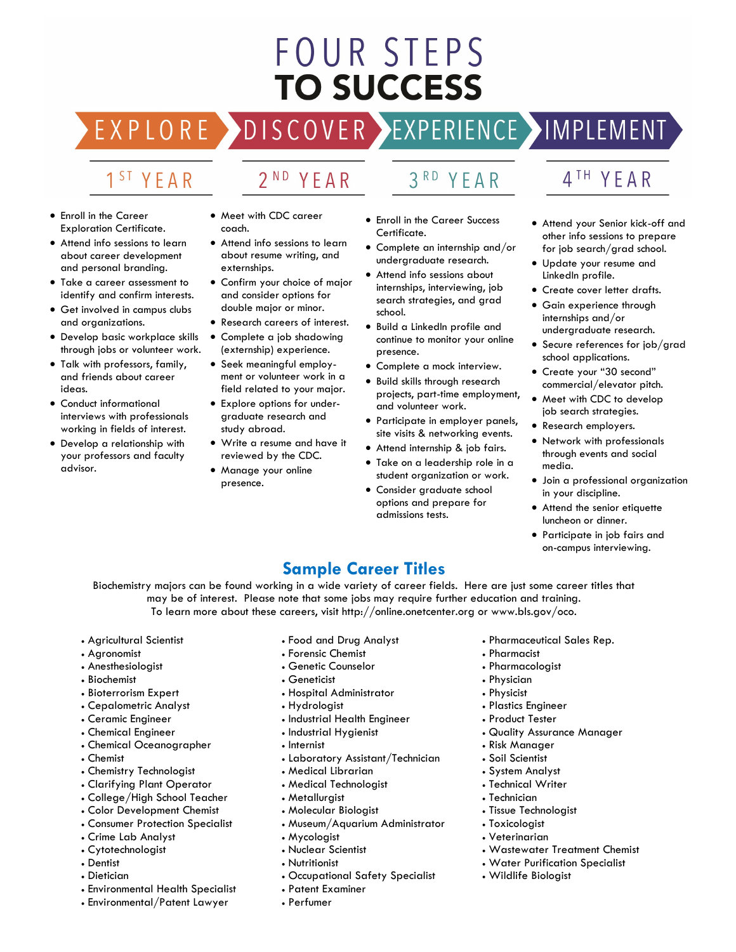# **FOUR STEPS TO SUCCESS**

EXPLORE >DISCOVER >EXPERIENCE >IMPLEMENT

# 1<sup>ST</sup> YEAR

- 2<sup>ND</sup> YEAR
- Enroll in the Career Exploration Certificate.
- Attend info sessions to learn about career development and personal branding.
- Take a career assessment to identify and confirm interests.
- Get involved in campus clubs and organizations.
- Develop basic workplace skills through jobs or volunteer work.
- Talk with professors, family, and friends about career ideas.
- Conduct informational interviews with professionals working in fields of interest.
- Develop a relationship with your professors and faculty advisor.
- Meet with CDC career coach.
- Attend info sessions to learn about resume writing, and externships.
- Confirm your choice of major and consider options for double major or minor.
- Research careers of interest.
- Complete a job shadowing (externship) experience.
- Seek meaningful employment or volunteer work in a field related to your major.
- Explore options for undergraduate research and study abroad.
- Write a resume and have it reviewed by the CDC.
- Manage your online presence.

3RD YEAR

- Enroll in the Career Success Certificate.
- Complete an internship and/or undergraduate research.
- Attend info sessions about internships, interviewing, job search strategies, and grad school.
- Build a LinkedIn profile and continue to monitor your online presence.
- Complete a mock interview.
- Build skills through research projects, part-time employment, and volunteer work.
- Participate in employer panels, site visits & networking events.
- Attend internship & job fairs.
- Take on a leadership role in a student organization or work.
- Consider graduate school options and prepare for admissions tests.
- 4TH YEAR
- Attend your Senior kick-off and other info sessions to prepare for job search/grad school.
- Update your resume and LinkedIn profile.
- Create cover letter drafts.
- Gain experience through internships and/or undergraduate research.
- Secure references for job/grad school applications.
- Create your "30 second" commercial/elevator pitch.
- Meet with CDC to develop job search strategies.
- Research employers.
- Network with professionals through events and social media.
- Join a professional organization in your discipline.
- Attend the senior etiquette luncheon or dinner.
- Participate in job fairs and on-campus interviewing.

## **Sample Career Titles**

Biochemistry majors can be found working in a wide variety of career fields. Here are just some career titles that may be of interest. Please note that some jobs may require further education and training. To learn more about these careers, visit http://online.onetcenter.org or www.bls.gov/oco.

- Agricultural Scientist
- Agronomist
- Anesthesiologist
- Biochemist
- Bioterrorism Expert
- Cepalometric Analyst
- Ceramic Engineer
- Chemical Engineer
- Chemical Oceanographer
- Chemist
- Chemistry Technologist
- Clarifying Plant Operator
- College/High School Teacher
- Color Development Chemist
- Consumer Protection Specialist
- Crime Lab Analyst
- Cytotechnologist
- Dentist
- Dietician
- Environmental Health Specialist
- Environmental/Patent Lawyer
- Food and Drug Analyst
- Forensic Chemist
- Genetic Counselor
- Geneticist
- Hospital Administrator
- Hydrologist
- Industrial Health Engineer
- Industrial Hygienist
- Internist
- Laboratory Assistant/Technician
- Medical Librarian
- Medical Technologist
- Metallurgist
- Molecular Biologist
- Museum/Aquarium Administrator
- Mycologist
- Nuclear Scientist
- Nutritionist
- Occupational Safety Specialist

#### • Patent Examiner

• Perfumer

- Pharmaceutical Sales Rep.
- Pharmacist
- Pharmacologist
- Physician
- Physicist
- Plastics Engineer
- Product Tester
- Quality Assurance Manager

• Wastewater Treatment Chemist • Water Purification Specialist

- Risk Manager
- Soil Scientist

• Technician • Tissue Technologist • Toxicologist • Veterinarian

• System Analyst • Technical Writer

• Wildlife Biologist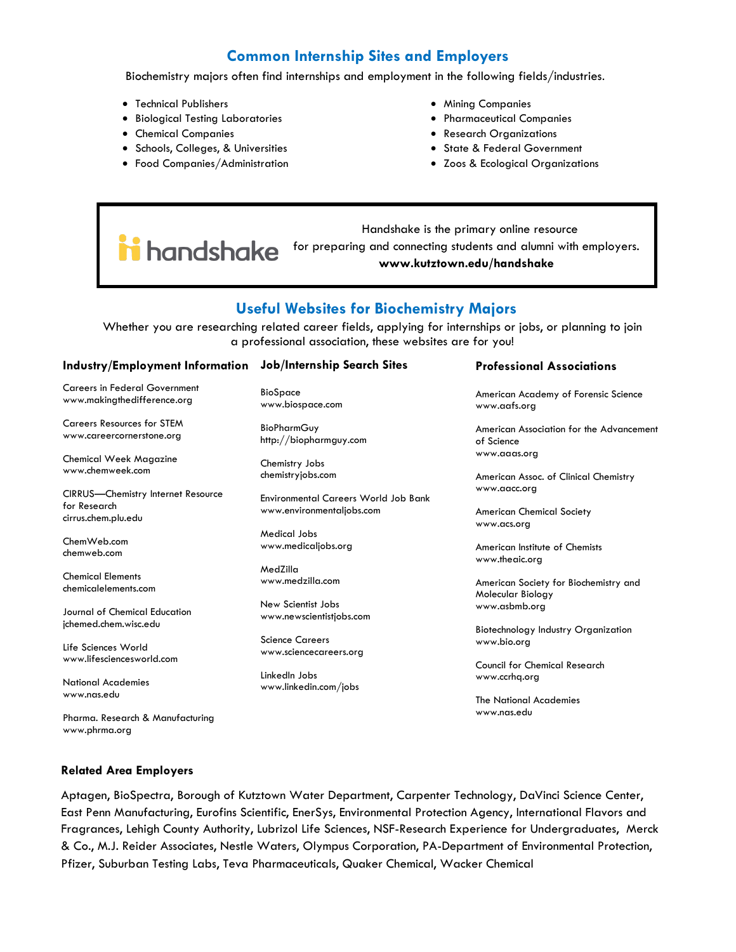### **Common Internship Sites and Employers**

Biochemistry majors often find internships and employment in the following fields/industries.

- Technical Publishers
- Biological Testing Laboratories
- Chemical Companies
- Schools, Colleges, & Universities
- Food Companies/Administration
- Mining Companies
- Pharmaceutical Companies
- Research Organizations
- State & Federal Government
- Zoos & Ecological Organizations

 Handshake is the primary online resource ii handshake for preparing and connecting students and alumni with employers. **www.kutztown.edu/handshake**

#### **Useful Websites for Biochemistry Majors**

Whether you are researching related career fields, applying for internships or jobs, or planning to join a professional association, these websites are for you!

#### **Industry/Employment Information Job/Internship Search Sites**

Careers in Federal Government www.makingthedifference.org

Careers Resources for STEM www.careercornerstone.org

Chemical Week Magazine www.chemweek.com

CIRRUS—Chemistry Internet Resource for Research cirrus.chem.plu.edu

ChemWeb.com chemweb.com

Chemical Elements chemicalelements.com

Journal of Chemical Education jchemed.chem.wisc.edu

Life Sciences World www.lifesciencesworld.com

National Academies www.nas.edu

Pharma. Research & Manufacturing www.phrma.org

BioSpace www.biospace.com

**BioPharmGuy** http://biopharmguy.com

Chemistry Jobs chemistryjobs.com

Environmental Careers World Job Bank www.environmentaljobs.com

Medical Jobs www.medicaljobs.org

MedZilla www.medzilla.com

New Scientist Jobs www.newscientistjobs.com

Science Careers www.sciencecareers.org

LinkedIn Jobs www.linkedin.com/jobs

#### **Professional Associations**

American Academy of Forensic Science www.aafs.org

American Association for the Advancement of Science www.aaas.org

American Assoc. of Clinical Chemistry www.aacc.org

American Chemical Society www.acs.org

American Institute of Chemists www.theaic.org

American Society for Biochemistry and Molecular Biology www.asbmb.org

Biotechnology Industry Organization www.bio.org

Council for Chemical Research www.ccrhq.org

The National Academies www.nas.edu

#### **Related Area Employers**

Aptagen, BioSpectra, Borough of Kutztown Water Department, Carpenter Technology, DaVinci Science Center, East Penn Manufacturing, Eurofins Scientific, EnerSys, Environmental Protection Agency, International Flavors and Fragrances, Lehigh County Authority, Lubrizol Life Sciences, NSF-Research Experience for Undergraduates, Merck & Co., M.J. Reider Associates, Nestle Waters, Olympus Corporation, PA-Department of Environmental Protection, Pfizer, Suburban Testing Labs, Teva Pharmaceuticals, Quaker Chemical, Wacker Chemical